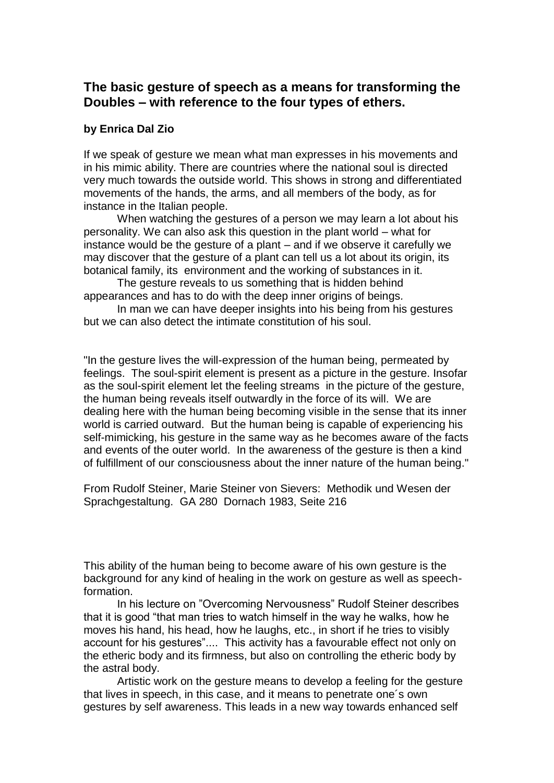## **The basic gesture of speech as a means for transforming the Doubles – with reference to the four types of ethers.**

## **by Enrica Dal Zio**

If we speak of gesture we mean what man expresses in his movements and in his mimic ability. There are countries where the national soul is directed very much towards the outside world. This shows in strong and differentiated movements of the hands, the arms, and all members of the body, as for instance in the Italian people.

When watching the gestures of a person we may learn a lot about his personality. We can also ask this question in the plant world – what for instance would be the gesture of a plant – and if we observe it carefully we may discover that the gesture of a plant can tell us a lot about its origin, its botanical family, its environment and the working of substances in it.

The gesture reveals to us something that is hidden behind appearances and has to do with the deep inner origins of beings*.* 

In man we can have deeper insights into his being from his gestures but we can also detect the intimate constitution of his soul.

"In the gesture lives the will-expression of the human being, permeated by feelings. The soul-spirit element is present as a picture in the gesture. Insofar as the soul-spirit element let the feeling streams in the picture of the gesture, the human being reveals itself outwardly in the force of its will. We are dealing here with the human being becoming visible in the sense that its inner world is carried outward. But the human being is capable of experiencing his self-mimicking, his gesture in the same way as he becomes aware of the facts and events of the outer world. In the awareness of the gesture is then a kind of fulfillment of our consciousness about the inner nature of the human being."

From Rudolf Steiner, Marie Steiner von Sievers: Methodik und Wesen der Sprachgestaltung. GA 280 Dornach 1983, Seite 216

This ability of the human being to become aware of his own gesture is the background for any kind of healing in the work on gesture as well as speechformation.

In his lecture on "Overcoming Nervousness" Rudolf Steiner describes that it is good "that man tries to watch himself in the way he walks, how he moves his hand, his head, how he laughs, etc., in short if he tries to visibly account for his gestures".... This activity has a favourable effect not only on the etheric body and its firmness, but also on controlling the etheric body by the astral body.

Artistic work on the gesture means to develop a feeling for the gesture that lives in speech, in this case, and it means to penetrate one´s own gestures by self awareness. This leads in a new way towards enhanced self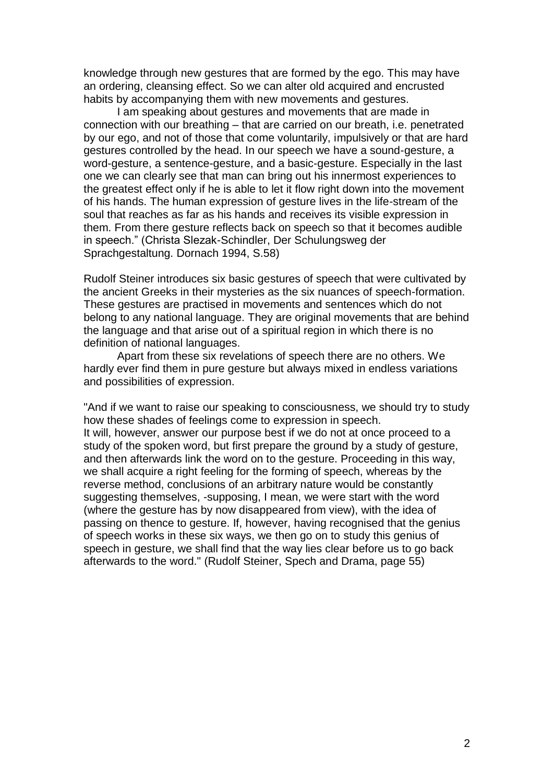knowledge through new gestures that are formed by the ego. This may have an ordering, cleansing effect. So we can alter old acquired and encrusted habits by accompanying them with new movements and gestures.

I am speaking about gestures and movements that are made in connection with our breathing – that are carried on our breath, i.e. penetrated by our ego, and not of those that come voluntarily, impulsively or that are hard gestures controlled by the head. In our speech we have a sound-gesture, a word-gesture, a sentence-gesture, and a basic-gesture. Especially in the last one we can clearly see that man can bring out his innermost experiences to the greatest effect only if he is able to let it flow right down into the movement of his hands. The human expression of gesture lives in the life-stream of the soul that reaches as far as his hands and receives its visible expression in them. From there gesture reflects back on speech so that it becomes audible in speech." (Christa Slezak-Schindler, Der Schulungsweg der Sprachgestaltung. Dornach 1994, S.58)

Rudolf Steiner introduces six basic gestures of speech that were cultivated by the ancient Greeks in their mysteries as the six nuances of speech-formation. These gestures are practised in movements and sentences which do not belong to any national language. They are original movements that are behind the language and that arise out of a spiritual region in which there is no definition of national languages.

Apart from these six revelations of speech there are no others. We hardly ever find them in pure gesture but always mixed in endless variations and possibilities of expression.

"And if we want to raise our speaking to consciousness, we should try to study how these shades of feelings come to expression in speech. It will, however, answer our purpose best if we do not at once proceed to a study of the spoken word, but first prepare the ground by a study of gesture, and then afterwards link the word on to the gesture. Proceeding in this way, we shall acquire a right feeling for the forming of speech, whereas by the reverse method, conclusions of an arbitrary nature would be constantly suggesting themselves, -supposing, I mean, we were start with the word (where the gesture has by now disappeared from view), with the idea of passing on thence to gesture. If, however, having recognised that the genius of speech works in these six ways, we then go on to study this genius of speech in gesture, we shall find that the way lies clear before us to go back afterwards to the word." (Rudolf Steiner, Spech and Drama, page 55)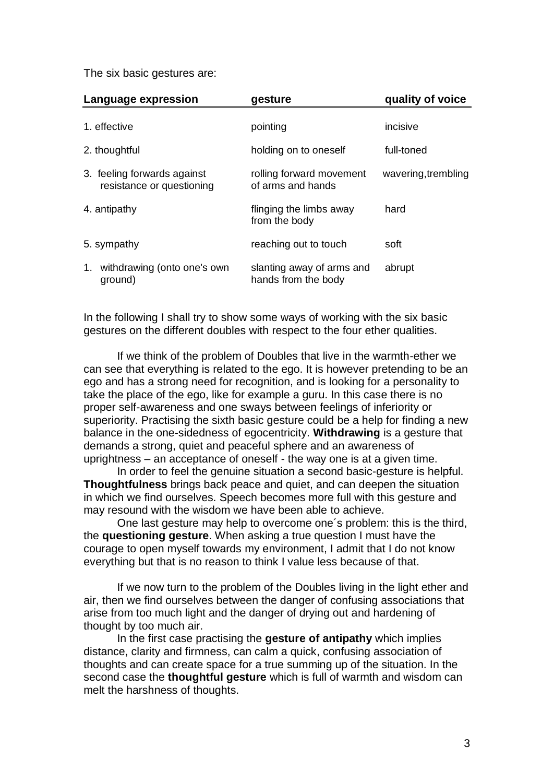The six basic gestures are:

| Language expression                                      | gesture                                          | quality of voice    |
|----------------------------------------------------------|--------------------------------------------------|---------------------|
| 1. effective                                             | pointing                                         | incisive            |
| 2. thoughtful                                            | holding on to oneself                            | full-toned          |
| 3. feeling forwards against<br>resistance or questioning | rolling forward movement<br>of arms and hands    | wavering, trembling |
| 4. antipathy                                             | flinging the limbs away<br>from the body         | hard                |
| 5. sympathy                                              | reaching out to touch                            | soft                |
| 1. withdrawing (onto one's own<br>ground)                | slanting away of arms and<br>hands from the body | abrupt              |

In the following I shall try to show some ways of working with the six basic gestures on the different doubles with respect to the four ether qualities.

If we think of the problem of Doubles that live in the warmth-ether we can see that everything is related to the ego. It is however pretending to be an ego and has a strong need for recognition, and is looking for a personality to take the place of the ego, like for example a guru. In this case there is no proper self-awareness and one sways between feelings of inferiority or superiority. Practising the sixth basic gesture could be a help for finding a new balance in the one-sidedness of egocentricity. **Withdrawing** is a gesture that demands a strong, quiet and peaceful sphere and an awareness of uprightness – an acceptance of oneself - the way one is at a given time.

In order to feel the genuine situation a second basic-gesture is helpful. **Thoughtfulness** brings back peace and quiet, and can deepen the situation in which we find ourselves. Speech becomes more full with this gesture and may resound with the wisdom we have been able to achieve.

One last gesture may help to overcome one´s problem: this is the third, the **questioning gesture**. When asking a true question I must have the courage to open myself towards my environment, I admit that I do not know everything but that is no reason to think I value less because of that.

If we now turn to the problem of the Doubles living in the light ether and air, then we find ourselves between the danger of confusing associations that arise from too much light and the danger of drying out and hardening of thought by too much air.

In the first case practising the **gesture of antipathy** which implies distance, clarity and firmness, can calm a quick, confusing association of thoughts and can create space for a true summing up of the situation. In the second case the **thoughtful gesture** which is full of warmth and wisdom can melt the harshness of thoughts.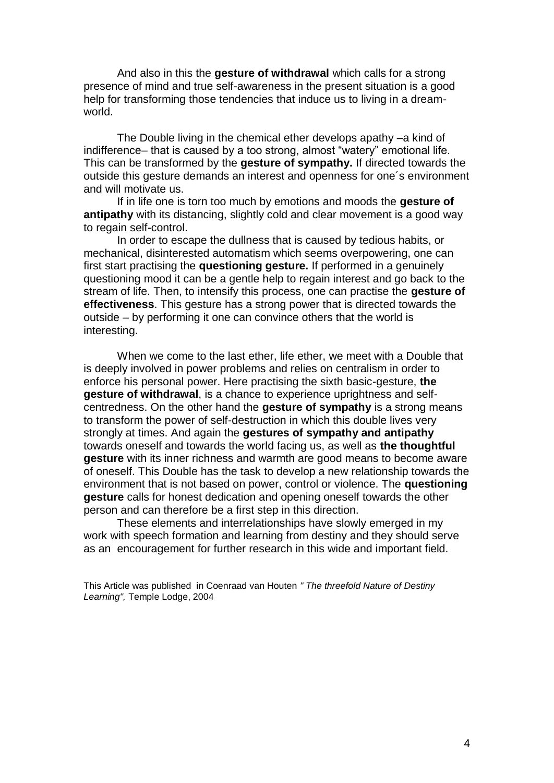And also in this the **gesture of withdrawal** which calls for a strong presence of mind and true self-awareness in the present situation is a good help for transforming those tendencies that induce us to living in a dreamworld.

The Double living in the chemical ether develops apathy –a kind of indifference– that is caused by a too strong, almost "watery" emotional life. This can be transformed by the **gesture of sympathy.** If directed towards the outside this gesture demands an interest and openness for one´s environment and will motivate us.

If in life one is torn too much by emotions and moods the **gesture of antipathy** with its distancing, slightly cold and clear movement is a good way to regain self-control.

In order to escape the dullness that is caused by tedious habits, or mechanical, disinterested automatism which seems overpowering, one can first start practising the **questioning gesture.** If performed in a genuinely questioning mood it can be a gentle help to regain interest and go back to the stream of life. Then, to intensify this process, one can practise the **gesture of effectiveness**. This gesture has a strong power that is directed towards the outside – by performing it one can convince others that the world is interesting.

When we come to the last ether, life ether, we meet with a Double that is deeply involved in power problems and relies on centralism in order to enforce his personal power. Here practising the sixth basic-gesture, **the gesture of withdrawal**, is a chance to experience uprightness and selfcentredness. On the other hand the **gesture of sympathy** is a strong means to transform the power of self-destruction in which this double lives very strongly at times. And again the **gestures of sympathy and antipathy** towards oneself and towards the world facing us, as well as **the thoughtful gesture** with its inner richness and warmth are good means to become aware of oneself. This Double has the task to develop a new relationship towards the environment that is not based on power, control or violence. The **questioning gesture** calls for honest dedication and opening oneself towards the other person and can therefore be a first step in this direction.

These elements and interrelationships have slowly emerged in my work with speech formation and learning from destiny and they should serve as an encouragement for further research in this wide and important field.

This Article was published in Coenraad van Houten *" The threefold Nature of Destiny Learning",* Temple Lodge, 2004